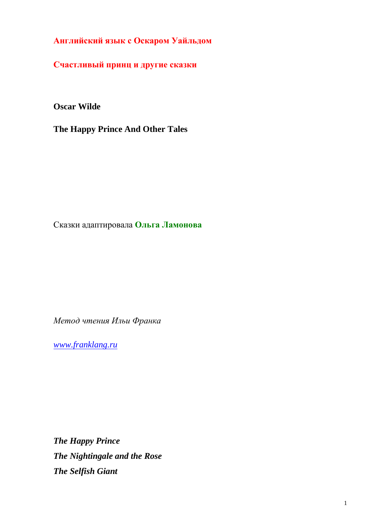**Английский язык с Оскаром Уайльдом**

**Счастливый принц и другие сказки**

**Oscar Wilde**

**The Happy Prince And Other Tales**

Сказки адаптировала **Ольга Ламонова**

*Метод чтения Ильи Франка*

*[www.franklang.ru](http://www.franklang.ru/)*

*The Happy Prince The Nightingale and the Rose The Selfish Giant*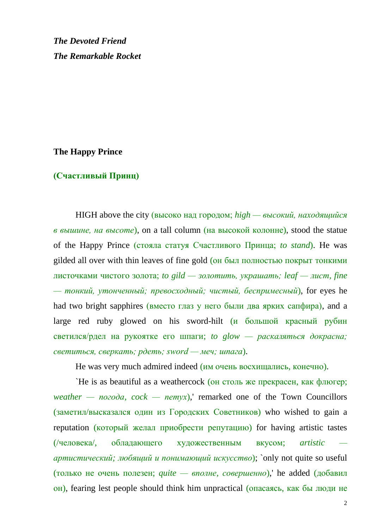*The Devoted Friend The Remarkable Rocket*

## **The Happy Prince**

## **(Счастливый Принц)**

HIGH above the city (высоко над городом; *high — высокий, находящийся в вышине, на высоте*), on a tall column (на высокой колонне), stood the statue of the Happy Prince (стояла статуя Счастливого Принца; *to stand*). He was gilded all over with thin leaves of fine gold (он был полностью покрыт тонкими листочками чистого золота; *to gild — золотить, украшать; leaf — лист, fine — тонкий, утонченный; превосходный; чистый, беспримесный*), for eyes he had two bright sapphires (вместо глаз у него были два ярких сапфира), and a large red ruby glowed on his sword-hilt (и большой красный рубин светился/рдел на рукоятке его шпаги; *to glow — раскаляться докрасна; светиться, сверкать; рдеть; sword — меч; шпага*).

He was very much admired indeed (им очень восхищались, конечно).

`He is as beautiful as a weathercock (он столь же прекрасен, как флюгер; *weather — погода, cock — петух*),' remarked one of the Town Councillors (заметил/высказался один из Городских Советников) who wished to gain a reputation (который желал приобрести репутацию) for having artistic tastes (/человека/, обладающего художественным вкусом; *artistic артистический; любящий и понимающий искусство*); `only not quite so useful (только не очень полезен; *quite — вполне, совершенно*),' he added (добавил он), fearing lest people should think him unpractical (опасаясь, как бы люди не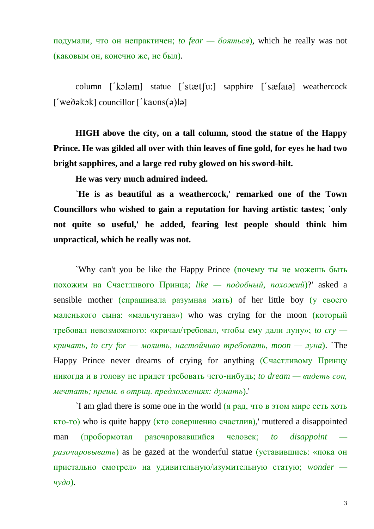подумали, что он непрактичен; *to fear — бояться*), which he really was not (каковым он, конечно же, не был).

column  $\lceil 'k \rceil$  statue  $\lceil 'stat[i] \rceil$  sapphire  $\lceil 'sæfa \rceil$  weathercock  $['$ weðəkək $]$  councillor  $['$ kavns $(9)$ lə $]$ 

**HIGH above the city, on a tall column, stood the statue of the Happy Prince. He was gilded all over with thin leaves of fine gold, for eyes he had two bright sapphires, and a large red ruby glowed on his sword-hilt.**

**He was very much admired indeed.**

**`He is as beautiful as a weathercock,' remarked one of the Town Councillors who wished to gain a reputation for having artistic tastes; `only not quite so useful,' he added, fearing lest people should think him unpractical, which he really was not.**

`Why can't you be like the Happy Prince (почему ты не можешь быть похожим на Счастливого Принца; *like — подобный, похожий*)?' asked a sensible mother (спрашивала разумная мать) of her little boy (у своего маленького сына: «мальчугана») who was crying for the moon (который требовал невозможного: «кричал/требовал, чтобы ему дали луну»; *to cry кричать, to cry for — молить, настойчиво требовать, moon — луна*). `The Happy Prince never dreams of crying for anything (Счастливому Принцу никогда и в голову не придет требовать чего-нибудь; *to dream — видеть сон, мечтать; преим. в отриц. предложениях: думать*).'

`I am glad there is some one in the world (я рад, что в этом мире есть хоть кто-то) who is quite happy (кто совершенно счастлив),' muttered a disappointed man (пробормотал разочаровавшийся человек; *to disappoint разочаровывать*) as he gazed at the wonderful statue (уставившись: «пока он пристально смотрел» на удивительную/изумительную статую; *wonder чудо*).

3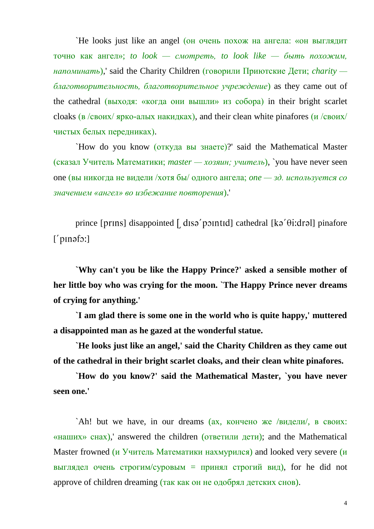`He looks just like an angel (он очень похож на ангела: «он выглядит точно как ангел»; *to look — смотреть, to look like — быть похожим, напоминать*),' said the Charity Children (говорили Приютские Дети; *charity благотворительность, благотворительное учреждение*) as they came out of the cathedral (выходя: «когда они вышли» из собора) in their bright scarlet cloaks (в /своих/ ярко-алых накидках), and their clean white pinafores (и /своих/ чистых белых передниках).

`How do you know (откуда вы знаете)?' said the Mathematical Master (сказал Учитель Математики; *master — хозяин; учитель*), `you have never seen one (вы никогда не видели /хотя бы/ одного ангела; *one — зд. используется со значением «ангел» во избежание повторения*).'

prince [ $prins$ ] disappointed [ $ds^2$  point d] cathedral  $[k^2 \theta : dr^2]$  pinafore  $[$  pməfo: $]$ 

**`Why can't you be like the Happy Prince?' asked a sensible mother of her little boy who was crying for the moon. `The Happy Prince never dreams of crying for anything.'**

**`I am glad there is some one in the world who is quite happy,' muttered a disappointed man as he gazed at the wonderful statue.**

**`He looks just like an angel,' said the Charity Children as they came out of the cathedral in their bright scarlet cloaks, and their clean white pinafores.**

**`How do you know?' said the Mathematical Master, `you have never seen one.'**

`Ah! but we have, in our dreams (ах, кончено же /видели/, в своих: «наших» снах),' answered the children (ответили дети); and the Mathematical Master frowned (и Учитель Математики нахмурился) and looked very severe (и выглядел очень строгим/суровым = принял строгий вид), for he did not approve of children dreaming (так как он не одобрял детских снов).

4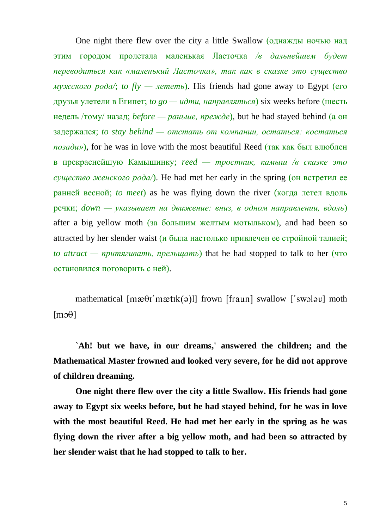One night there flew over the city a little Swallow (однажды ночью над этим городом пролетала маленькая Ласточка */в дальнейшем будет переводиться как «маленький Ласточка», так как в сказке это существо*   $MY/KCKO2O$  poda/; *to*  $fly$  — *лететь*). His friends had gone away to Egypt (его друзья улетели в Египет; *to go — идти, направляться*) six weeks before (шесть недель /тому/ назад; *before — раньше, прежде*), but he had stayed behind (а он задержался; *to stay behind — отстать от компании, остаться: «остаться позади»*), for he was in love with the most beautiful Reed (так как был влюблен в прекраснейшую Камышинку; *reed — тростник, камыш /в сказке это существо женского рода/*). He had met her early in the spring (он встретил ее ранней весной; *to meet*) as he was flying down the river (когда летел вдоль речки; *down — указывает на движение: вниз, в одном направлении, вдоль*) after a big yellow moth (за большим желтым мотыльком), and had been so attracted by her slender waist (и была настолько привлечен ее стройной талией; *to attract — притягивать, прельщать*) that he had stopped to talk to her (что остановился поговорить с ней).

mathematical  $[m\mathcal{B}(\mathcal{A})][T]$  frown  $[T\mathcal{A}(\mathcal{A})]$  swallow  $[T\mathcal{A}(\mathcal{A})]$  moth  $[m3\theta]$ 

**`Ah! but we have, in our dreams,' answered the children; and the Mathematical Master frowned and looked very severe, for he did not approve of children dreaming.**

**One night there flew over the city a little Swallow. His friends had gone away to Egypt six weeks before, but he had stayed behind, for he was in love with the most beautiful Reed. He had met her early in the spring as he was flying down the river after a big yellow moth, and had been so attracted by her slender waist that he had stopped to talk to her.**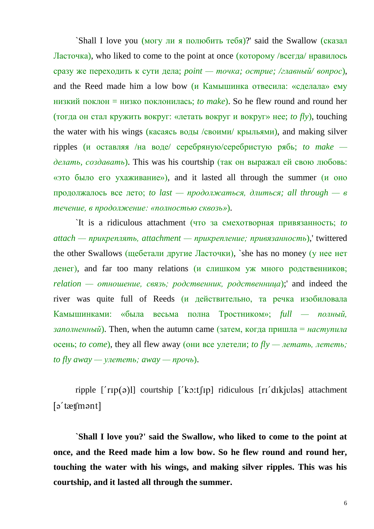`Shall I love you (могу ли я полюбить тебя)?' said the Swallow (сказал Ласточка), who liked to come to the point at once (которому /всегда/ нравилось сразу же переходить к сути дела; *point — точка; острие; /главный/ вопрос*), and the Reed made him a low bow (и Камышинка отвесила: «сделала» ему низкий поклон = низко поклонилась; *to make*). So he flew round and round her (тогда он стал кружить вокруг: «летать вокруг и вокруг» нее; *to fly*), touching the water with his wings (касаясь воды /своими/ крыльями), and making silver ripples (и оставляя /на воде/ серебряную/серебристую рябь; *to make делать, создавать*). This was his courtship (так он выражал ей свою любовь: «это было его ухаживание»), and it lasted all through the summer (и оно продолжалось все лето; *to last — продолжаться, длиться; all through — в течение, в продолжение: «полностью сквозь»*).

`It is a ridiculous attachment (что за смехотворная привязанность; *to attach — прикреплять, attachment — прикрепление; привязанность*),' twittered the other Swallows (щебетали другие Ласточки), `she has no money (у нее нет денег), and far too many relations (и слишком уж много родственников; *relation — отношение, связь; родственник, родственница*);' and indeed the river was quite full of Reeds (и действительно, та речка изобиловала Камышинками: «была весьма полна Тростником»; *full — полный,*   $\alpha$  *заполненный*). Then, when the autumn came (затем, когда пришла = *наступила* осень; *to come*), they all flew away (они все улетели; *to fly — летать, лететь;*   $to fly$  *away* — *улететь; away* — *прочь*).

ripple  $\lceil$  r<sub>Ip</sub>(a)l] courtship  $\lceil$  ko:t $\lceil$ Ip] ridiculous  $\lceil$  r<sub>I</sub> d<sub>I</sub>kjulas] attachment  $\lceil$ ə' tætsmənt $\rceil$ 

**`Shall I love you?' said the Swallow, who liked to come to the point at once, and the Reed made him a low bow. So he flew round and round her, touching the water with his wings, and making silver ripples. This was his courtship, and it lasted all through the summer.**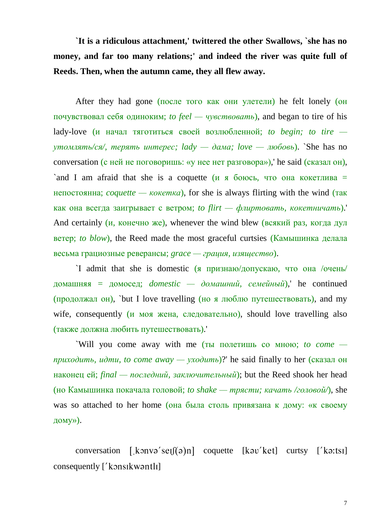**`It is a ridiculous attachment,' twittered the other Swallows, `she has no money, and far too many relations;' and indeed the river was quite full of Reeds. Then, when the autumn came, they all flew away.**

After they had gone (после того как они улетели) he felt lonely (он почувствовал себя одиноким; *to feel — чувствовать*), and began to tire of his lady-love (и начал тяготиться своей возлюбленной; *to begin; to tire утомлять/ся/, терять интерес; lady — дама; love — любовь*). `She has no conversation (с ней не поговоришь: «у нее нет разговора»),' he said (сказал он), `and I am afraid that she is a coquette  $(\mu \times 6000c)$ , что она кокетлива = непостоянна; *coquette — кокетка*), for she is always flirting with the wind (так как она всегда заигрывает с ветром; *to flirt — флиртовать, кокетничать*).' And certainly  $(u, \text{Rone}, w)$ , whenever the wind blew (всякий раз, когда дул ветер; *to blow*), the Reed made the most graceful curtsies (Камышинка делала весьма грациозные реверансы; *grace — грация, изящество*).

`I admit that she is domestic (я признаю/допускаю, что она /очень/ домашняя = домосед; *domestic — домашний, семейный*),' he continued (продолжал он), `but I love travelling (но я люблю путешествовать), and my wife, consequently (и моя жена, следовательно), should love travelling also (также должна любить путешествовать).'

`Will you come away with me (ты полетишь со мною; *to come приходить, идти, to come away — уходить*)?' he said finally to her (сказал он наконец ей; *final — последний, заключительный*); but the Reed shook her head (но Камышинка покачала головой; *to shake — трясти; качать /головой/*), she was so attached to her home (она была столь привязана к дому: «к своему дому»).

conversation  $[\text{konvə}'\text{ser}](\phi)$ n coquette  $[\text{kov}'\text{ket}]$  curtsy  $[\text{ko:ts1}]$ consequently  $\lceil$  konsikwantli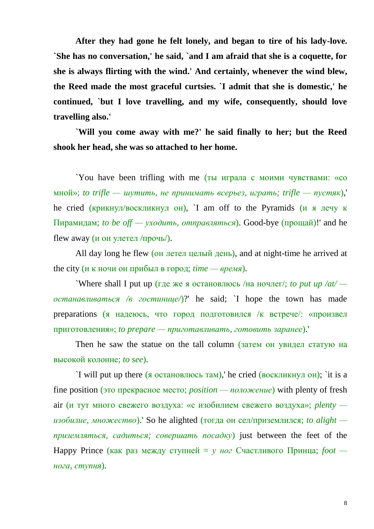**After they had gone he felt lonely, and began to tire of his lady-love. `She has no conversation,' he said, `and I am afraid that she is a coquette, for she is always flirting with the wind.' And certainly, whenever the wind blew, the Reed made the most graceful curtsies. `I admit that she is domestic,' he continued, `but I love travelling, and my wife, consequently, should love travelling also.'** 

**`Will you come away with me?' he said finally to her; but the Reed shook her head, she was so attached to her home.**

`You have been trifling with me (ты играла с моими чувствами: «со мной»; *to trifle — шутить, не принимать всерьез, играть; trifle — пустяк*),' he cried (крикнул/воскликнул он), `I am off to the Pyramids (и я лечу к Пирамидам; *to be off — уходить, отправляться*). Good-bye (прощай)!' and he flew away (и он улетел /прочь/).

All day long he flew (он летел целый день), and at night-time he arrived at the city (и к ночи он прибыл в город; *time — время*).

`Where shall I put up (где же я остановлюсь /на ночлег/; *to put up /at/ останавливаться /в гостинице/*)?' he said; `I hope the town has made preparations (я надеюсь, что город подготовился /к встрече/: «произвел приготовления»; *to prepare — приготавливать, готовить заранее*).'

Then he saw the statue on the tall column (затем он увидел статую на высокой колонне; *to see*).

`I will put up there (я остановлюсь там),' he cried (воскликнул он); `it is a fine position (это прекрасное место; *position — положение*) with plenty of fresh air (и тут много свежего воздуха: «с изобилием свежего воздуха»; *plenty изобилие, множество*).' So he alighted (тогда он сел/приземлился; *to alight приземляться, садиться; совершать посадку*) just between the feet of the Happy Prince (как раз между ступней = *у ног* Счастливого Принца; *foot нога, ступня*).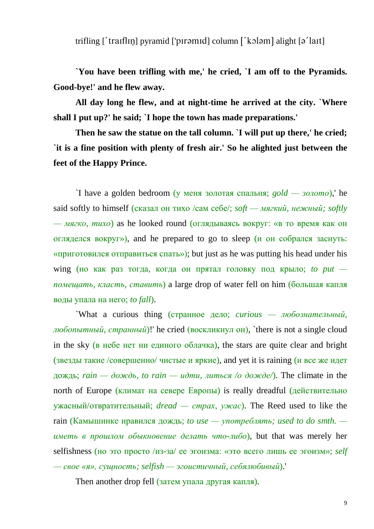trifling  $\lceil$  traiflin pyramid  $\lceil$  piromid column  $\lceil$  kolom alight  $\lceil$  alight  $\lceil$  alight  $\lceil$ 

**`You have been trifling with me,' he cried, `I am off to the Pyramids. Good-bye!' and he flew away.**

**All day long he flew, and at night-time he arrived at the city. `Where shall I put up?' he said; `I hope the town has made preparations.'**

**Then he saw the statue on the tall column. `I will put up there,' he cried; `it is a fine position with plenty of fresh air.' So he alighted just between the feet of the Happy Prince.**

`I have a golden bedroom (у меня золотая спальня; *gold — золото*),' he said softly to himself (сказал он тихо /сам себе/; *soft — мягкий, нежный; softly — мягко, тихо*) as he looked round (оглядываясь вокруг: «в то время как он огляделся вокруг»), and he prepared to go to sleep (и он собрался заснуть: «приготовился отправиться спать»); but just as he was putting his head under his wing (но как раз тогда, когда он прятал головку под крыло; *to put помещать, класть, ставить*) a large drop of water fell on him (большая капля воды упала на него; *to fall*).

`What a curious thing (странное дело; *curious — любознательный, любопытный, странный*)!' he cried (воскликнул он), `there is not a single cloud in the sky (в небе нет ни единого облачка), the stars are quite clear and bright (звезды такие /совершенно/ чистые и яркие), and yet it is raining (и все же идет дождь; *rain — дождь, to rain — идти, литься /о дожде/*). The climate in the north of Europe (климат на севере Европы) is really dreadful (действительно ужасный/отвратительный; *dread — страх, ужас*). The Reed used to like the rain (Камышинке нравился дождь; *to use — употреблять; used to do smth. иметь в прошлом обыкновение делать что-либо*), but that was merely her selfishness (но это просто /из-за/ ее эгоизма: «это всего лишь ее эгоизм»; *self — свое «я», сущность; selfish — эгоистичный, себялюбивый*).'

Then another drop fell (затем упала другая капля).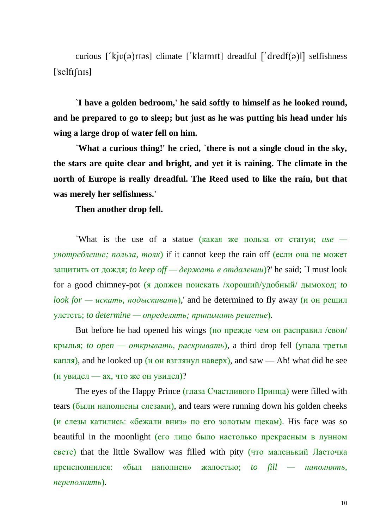curious [' $kiv(ə)rsj$ ] climate [' $klanntj$ ] dreadful [' $dredf(ə)lj$ ] selfishness  $['selfif'$ 

**`I have a golden bedroom,' he said softly to himself as he looked round, and he prepared to go to sleep; but just as he was putting his head under his wing a large drop of water fell on him.**

**`What a curious thing!' he cried, `there is not a single cloud in the sky, the stars are quite clear and bright, and yet it is raining. The climate in the north of Europe is really dreadful. The Reed used to like the rain, but that was merely her selfishness.'**

**Then another drop fell.**

`What is the use of a statue (какая же польза от статуи; *use употребление; польза, толк*) if it cannot keep the rain off (если она не может защитить от дождя; *to keep off — держать в отдалении*)?' he said; `I must look for a good chimney-pot (я должен поискать /хороший/удобный/ дымоход; *to look for — искать, подыскивать*),' and he determined to fly away (и он решил улететь; *to determine — определять; принимать решение*).

But before he had opened his wings (но прежде чем он расправил /свои/ крылья; *to open — открывать, раскрывать*), a third drop fell (упала третья капля), and he looked up (и он взглянул наверх), and saw — Ah! what did he see (и увидел — ах, что же он увидел)?

The eyes of the Happy Prince (глаза Счастливого Принца) were filled with tears (были наполнены слезами), and tears were running down his golden cheeks (и слезы катились: «бежали вниз» по его золотым щекам). His face was so beautiful in the moonlight (его лицо было настолько прекрасным в лунном свете) that the little Swallow was filled with pity (что маленький Ласточка преисполнился: «был наполнен» жалостью; *to fill — наполнять, переполнять*).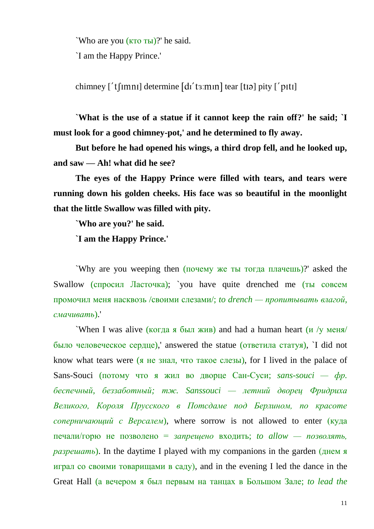`Who are you (кто ты)?' he said.

`I am the Happy Prince.'

chimney  $\lceil \text{t} \rceil$  the  $\lceil \text{d} \rceil$  determine  $\lceil \text{d} \rceil$  to  $\lceil \text{t} \rceil$  and  $\lceil \text{t} \rceil$  if  $\lceil \text{t} \rceil$ 

**`What is the use of a statue if it cannot keep the rain off?' he said; `I must look for a good chimney-pot,' and he determined to fly away.**

**But before he had opened his wings, a third drop fell, and he looked up, and saw — Ah! what did he see?**

**The eyes of the Happy Prince were filled with tears, and tears were running down his golden cheeks. His face was so beautiful in the moonlight that the little Swallow was filled with pity.**

**`Who are you?' he said.**

**`I am the Happy Prince.'**

`Why are you weeping then (почему же ты тогда плачешь)?' asked the Swallow (спросил Ласточка); you have quite drenched me (ты совсем промочил меня насквозь /своими слезами/; *to drench — пропитывать влагой, смачивать*).'

`When I was alive (когда я был жив) and had a human heart (и /у меня/ было человеческое сердце),' answered the statue (ответила статуя), `I did not know what tears were (я не знал, что такое слезы), for I lived in the palace of Sans-Souci (потому что я жил во дворце Сан-Суси; *sans-souci — фр. беспечный, беззаботный; тж. Sanssouci — летний дворец Фридриха Великого, Короля Прусского в Потсдаме под Берлином, по красоте соперничающий с Версалем*), where sorrow is not allowed to enter (куда печали/горю не позволено = *запрещено* входить; *to allow — позволять, разрешать*). In the daytime I played with my companions in the garden (днем я играл со своими товарищами в саду), and in the evening I led the dance in the Great Hall (а вечером я был первым на танцах в Большом Зале; *to lead the*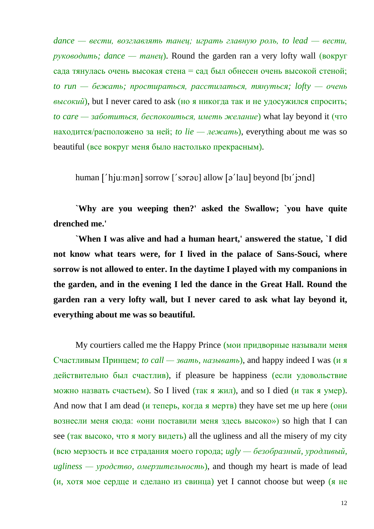*dance — вести, возглавлять танец; играть главную роль, to lead — вести,*   $p\gamma\kappa\omega\omega\omega m\omega$ ; *dance* — *maneu*). Round the garden ran a very lofty wall (**BOKPY**) сада тянулась очень высокая стена = сад был обнесен очень высокой стеной; *to run — бежать; простираться, расстилаться, тянуться; lofty — очень высокий*), but I never cared to ask (но я никогда так и не удосужился спросить; *to care — заботиться, беспокоиться, иметь желание*) what lay beyond it (что находится/расположено за ней; *to lie — лежать*), everything about me was so beautiful (все вокруг меня было настолько прекрасным).

human  $\lceil \int$ hju:mən $\lceil \int$  sorrow  $\lceil \int$  sorrow  $\lceil \int$  allow  $\lceil \int$  and  $\lceil \int$  beyond  $\lceil \ln \int$  independently

**`Why are you weeping then?' asked the Swallow; `you have quite drenched me.'**

**`When I was alive and had a human heart,' answered the statue, `I did not know what tears were, for I lived in the palace of Sans-Souci, where sorrow is not allowed to enter. In the daytime I played with my companions in the garden, and in the evening I led the dance in the Great Hall. Round the garden ran a very lofty wall, but I never cared to ask what lay beyond it, everything about me was so beautiful.**

My courtiers called me the Happy Prince (мои придворные называли меня Счастливым Принцем; *to call — звать, называть*), and happy indeed I was (и я действительно был счастлив), if pleasure be happiness (если удовольствие можно назвать счастьем). So I lived (так я жил), and so I died (и так я умер). And now that I am dead (*и* теперь, когда я мертв) they have set me up here (они вознесли меня сюда: «они поставили меня здесь высоко») so high that I can see (так высоко, что я могу видеть) all the ugliness and all the misery of my city (всю мерзость и все страдания моего города; *ugly — безобразный, уродливый, ugliness — уродство, омерзительность*), and though my heart is made of lead (и, хотя мое сердце и сделано из свинца) yet I cannot choose but weep (я не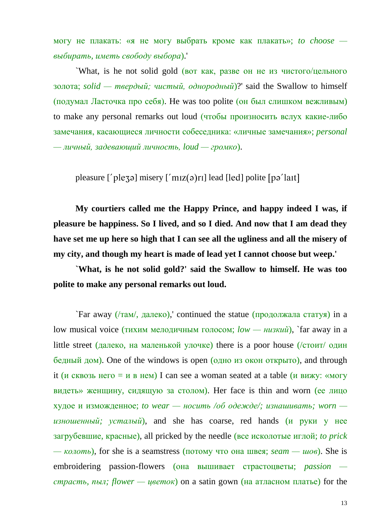могу не плакать: «я не могу выбрать кроме как плакать»; *to choose выбирать, иметь свободу выбора*).'

`What, is he not solid gold (вот как, разве он не из чистого/цельного золота; *solid — твердый; чистый, однородный*)?' said the Swallow to himself (подумал Ласточка про себя). He was too polite (он был слишком вежливым) to make any personal remarks out loud (чтобы произносить вслух какие-либо замечания, касающиеся личности собеседника: «личные замечания»; *personal — личный, задевающий личность, loud — громко*).

pleasure [' $p$ le $q$ ə] misery [' $m$ ız $(q)$ rı] lead [led] polite [pə'laɪt]

**My courtiers called me the Happy Prince, and happy indeed I was, if pleasure be happiness. So I lived, and so I died. And now that I am dead they have set me up here so high that I can see all the ugliness and all the misery of my city, and though my heart is made of lead yet I cannot choose but weep.'**

**`What, is he not solid gold?' said the Swallow to himself. He was too polite to make any personal remarks out loud.**

`Far away (/там/, далеко),' continued the statue (продолжала статуя) in a low musical voice (тихим мелодичным голосом; *low — низкий*), `far away in a little street (далеко, на маленькой улочке) there is a poor house (/стоит/ один бедный дом). One of the windows is open (одно из окон открыто), and through it (и сквозь него = и в нем) I can see a woman seated at a table (и вижу: «могу видеть» женщину, сидящую за столом). Her face is thin and worn (ее лицо худое и изможденное; *to wear — носить /об одежде/; изнашивать; worn изношенный; усталый*), and she has coarse, red hands (и руки у нее загрубевшие, красные), all pricked by the needle (все исколотые иглой; *to prick — колоть*), for she is a seamstress (потому что она швея; *seam — шов*). She is embroidering passion-flowers (она вышивает страстоцветы; *passion страсть, пыл; flower — цветок*) on a satin gown (на атласном платье) for the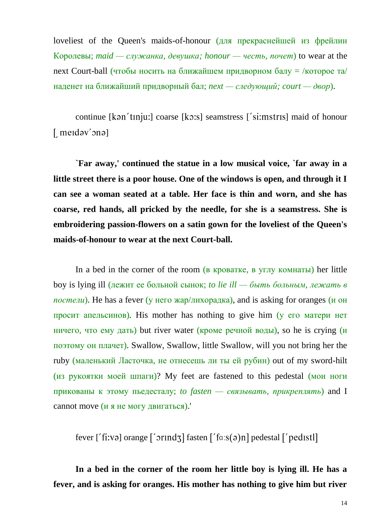loveliest of the Queen's maids-of-honour (для прекраснейшей из фрейлин Королевы; *maid — служанка, девушка; honour — честь, почет*) to wear at the next Court-ball (чтобы носить на ближайшем придворном балу = /которое та/ наденет на ближайший придворный бал; *next — следующий; court — двор*).

continue [kan'tɪnju:] coarse [kɔ:s] seamstress ['si:mstrɪs] maid of honour  $[$  merdəv'ənə]

**`Far away,' continued the statue in a low musical voice, `far away in a little street there is a poor house. One of the windows is open, and through it I can see a woman seated at a table. Her face is thin and worn, and she has coarse, red hands, all pricked by the needle, for she is a seamstress. She is embroidering passion-flowers on a satin gown for the loveliest of the Queen's maids-of-honour to wear at the next Court-ball.**

In a bed in the corner of the room (в кроватке, в углу комнаты) her little boy is lying ill (лежит ее больной сынок; *to lie ill — быть больным, лежать в постели*). He has a fever (у него жар/лихорадка), and is asking for oranges (и он просит апельсинов). His mother has nothing to give him ( $\gamma$  его матери нет ничего, что ему дать) but river water (кроме речной воды), so he is crying (и поэтому он плачет). Swallow, Swallow, little Swallow, will you not bring her the ruby (маленький Ласточка, не отнесешь ли ты ей рубин) out of my sword-hilt (из рукоятки моей шпаги)? My feet are fastened to this pedestal (мои ноги прикованы к этому пьедесталу; *to fasten — связывать, прикреплять*) and I cannot move (и я не могу двигаться).'

fever  $[$  fi:və] orange  $[$  orind<sub>3</sub>] fasten  $[$  fa:s(ə)n] pedestal  $[$  pedistl]

**In a bed in the corner of the room her little boy is lying ill. He has a fever, and is asking for oranges. His mother has nothing to give him but river**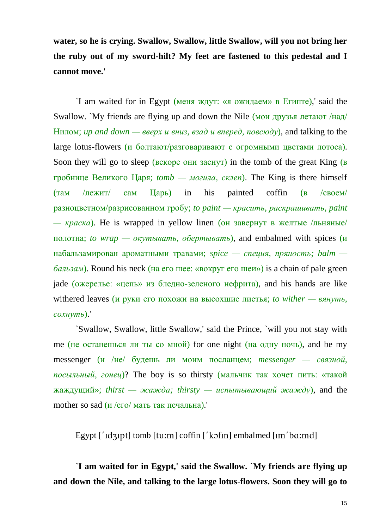**water, so he is crying. Swallow, Swallow, little Swallow, will you not bring her the ruby out of my sword-hilt? My feet are fastened to this pedestal and I cannot move.'**

`I am waited for in Egypt (меня ждут: «я ожидаем» в Египте),' said the Swallow. `My friends are flying up and down the Nile (мои друзья летают /над/ Нилом; *up and down — вверх и вниз, взад и вперед, повсюду*), and talking to the large lotus-flowers (и болтают/разговаривают с огромными цветами лотоса). Soon they will go to sleep (вскоре они заснут) in the tomb of the great King (в гробнице Великого Царя; *tomb — могила, склеп*). The King is there himself (там /лежит/ сам Царь) in his painted coffin (в /своем/ разноцветном/разрисованном гробу; *to paint — красить, раскрашивать, paint*   $-\kappa$ раска). He is wrapped in yellow linen (он завернут в желтые /льняные/ полотна; *to wrap — окутывать, обертывать*), and embalmed with spices (и набальзамирован ароматными травами; *spice — специя, пряность; balm бальзам*). Round his neck (на его шее: «вокруг его шеи») is a chain of pale green jade (ожерелье: «цепь» из бледно-зеленого нефрита), and his hands are like withered leaves (и руки его похожи на высохшие листья; *to wither — вянуть, сохнуть*).'

`Swallow, Swallow, little Swallow,' said the Prince, `will you not stay with me (не останешься ли ты со мной) for one night (на одну ночь), and be my messenger (и /не/ будешь ли моим посланцем; *messenger — связной, посыльный, гонец*)? The boy is so thirsty (мальчик так хочет пить: «такой  $\kappa$ аждущий»; *thirst — жажда; thirsty — испытывающий жажду*), and the mother so sad (*и* /его/ мать так печальна).

Egypt  $\lceil \cdot \frac{1}{\text{depth}} \rceil$  tomb  $\lceil \text{tu} : \text{m} \rceil$  coffin  $\lceil \cdot \frac{1}{\text{depth}} \rceil$  embalmed  $\lceil \text{tm} \cdot \text{ba} : \text{md} \rceil$ 

**`I am waited for in Egypt,' said the Swallow. `My friends are flying up and down the Nile, and talking to the large lotus-flowers. Soon they will go to**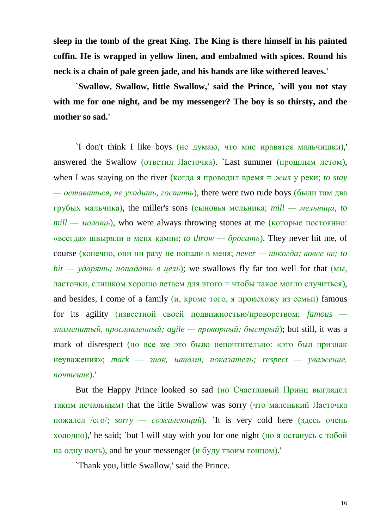**sleep in the tomb of the great King. The King is there himself in his painted coffin. He is wrapped in yellow linen, and embalmed with spices. Round his neck is a chain of pale green jade, and his hands are like withered leaves.'**

**`Swallow, Swallow, little Swallow,' said the Prince, `will you not stay with me for one night, and be my messenger? The boy is so thirsty, and the mother so sad.'**

`I don't think I like boys (не думаю, что мне нравятся мальчишки),' answered the Swallow (ответил Ласточка). Last summer (прошлым летом), when I was staying on the river (когда я проводил время = *жил* у реки; *to stay — оставаться, не уходить, гостить*), there were two rude boys (были там два грубых мальчика), the miller's sons (сыновья мельника; *mill — мельница, to mill — молоть*), who were always throwing stones at me (которые постоянно: «всегда» швыряли в меня камни; *to throw — бросать*). They never hit me, of course (конечно, они ни разу не попали в меня; *never — никогда; вовсе не; to hit — ударять; попадать в цель*); we swallows fly far too well for that (мы, ласточки, слишком хорошо летаем для этого = чтобы такое могло случиться), and besides, I come of a family  $(u, k)$  кроме того, я происхожу из семьи) famous for its agility (известной своей подвижностью/проворством; *famous знаменитый, прославленный; agile — проворный; быстрый*); but still, it was a mark of disrespect (но все же это было непочтительно: «это был признак неуважения»; *mark — знак, штамп, показатель; respect — уважение, почтение*).'

But the Happy Prince looked so sad (но Счастливый Принц выглядел таким печальным) that the little Swallow was sorry (что маленький Ласточка пожалел /его/; *sorry — сожалеющий*). `It is very cold here (здесь очень холодно),' he said; `but I will stay with you for one night (но я останусь с тобой на одну ночь), and be your messenger ( $\mu$  буду твоим гонцом).

`Thank you, little Swallow,' said the Prince.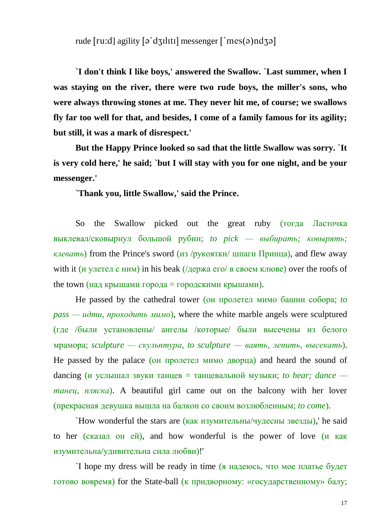## rude  $\lceil \text{ru:d} \rceil$  agility  $\lceil \text{o'dzultt} \rceil$  messenger  $\lceil \text{'mes}(\text{o}) \rceil$

**`I don't think I like boys,' answered the Swallow. `Last summer, when I was staying on the river, there were two rude boys, the miller's sons, who were always throwing stones at me. They never hit me, of course; we swallows fly far too well for that, and besides, I come of a family famous for its agility; but still, it was a mark of disrespect.'**

**But the Happy Prince looked so sad that the little Swallow was sorry. `It is very cold here,' he said; `but I will stay with you for one night, and be your messenger.'**

**`Thank you, little Swallow,' said the Prince.**

So the Swallow picked out the great ruby (тогда Ласточка выклевал/сковырнул большой рубин; *to pick — выбирать; ковырять; клевать*) from the Prince's sword (из /рукоятки/ шпаги Принца), and flew away with it (и улетел с ним) in his beak  $\ell$  держа его/ в своем клюве) over the roofs of the town (над крышами города = городскими крышами).

He passed by the cathedral tower (он пролетел мимо башни собора; *to pass — идти, проходить мимо*), where the white marble angels were sculptured (где /были установлены/ ангелы /которые/ были высечены из белого мрамора; *sculpture — скульптура, to sculpture — ваять, лепить, высекать*). He passed by the palace (он пролетел мимо дворца) and heard the sound of  $d$ ancing (*и услышал звуки танцев* = танцевальной музыки; *to hear*; *dance танец, пляска*). A beautiful girl came out on the balcony with her lover (прекрасная девушка вышла на балкон со своим возлюбленным; *to come*).

`How wonderful the stars are (как изумительны/чудесны звезды),' he said to her (сказал он ей), and how wonderful is the power of love (и как изумительна/удивительна сила любви)!'

`I hope my dress will be ready in time (я надеюсь, что мое платье будет готово вовремя) for the State-ball (к придворному: «государственному» балу;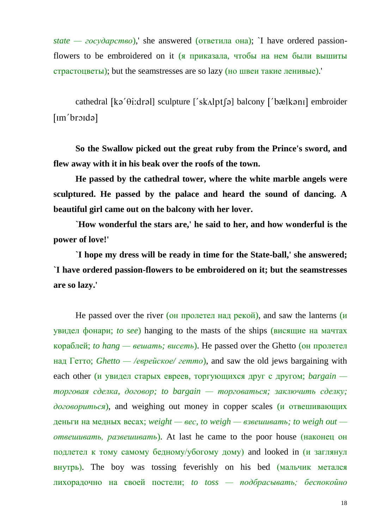*state — государство*),' she answered (ответила она); `I have ordered passionflowers to be embroidered on it (я приказала, чтобы на нем были вышиты страстоцветы); but the seamstresses are so lazy (но швеи такие ленивые).'

cathedral  $[k\phi'\theta$ : dral] sculpture  $[k\phi'\theta']$  balcony  $[k\phi'\theta']$  embroider  $[Im'broida]$ 

**So the Swallow picked out the great ruby from the Prince's sword, and flew away with it in his beak over the roofs of the town.**

**He passed by the cathedral tower, where the white marble angels were sculptured. He passed by the palace and heard the sound of dancing. A beautiful girl came out on the balcony with her lover.**

**`How wonderful the stars are,' he said to her, and how wonderful is the power of love!'**

**`I hope my dress will be ready in time for the State-ball,' she answered; `I have ordered passion-flowers to be embroidered on it; but the seamstresses are so lazy.'**

He passed over the river (он пролетел над рекой), and saw the lanterns (и увидел фонари; *to see*) hanging to the masts of the ships (висящие на мачтах кораблей; *to hang — вешать; висеть*). He passed over the Ghetto (он пролетел над Гетто; *Ghetto — /еврейское/ гетто*), and saw the old jews bargaining with each other (и увидел старых евреев, торгующихся друг с другом; *bargain торговая сделка, договор; to bargain — торговаться; заключить сделку; договориться*), and weighing out money in copper scales (и отвешивающих деньги на медных весах; *weight — вес, to weigh — взвешивать; to weigh out отвешивать, развешивать*). At last he came to the poor house (наконец он подлетел к тому самому бедному/убогому дому) and looked in (и заглянул внутрь). The boy was tossing feverishly on his bed (мальчик метался лихорадочно на своей постели; *to toss — подбрасывать; беспокойно*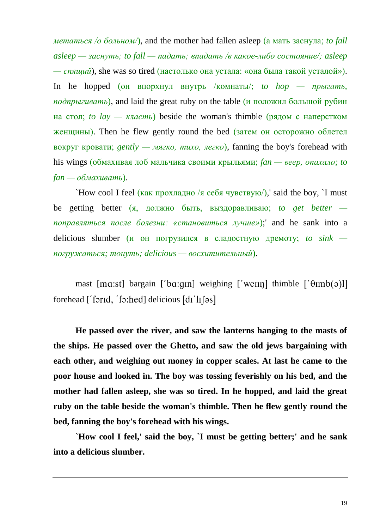*метаться /о больном/*), and the mother had fallen asleep (а мать заснула; *to fall asleep — заснуть; to fall — падать; впадать /в какое-либо состояние/; asleep — спящий*), she was so tired (настолько она устала: «она была такой усталой»). In he hopped (он впорхнул внутрь /комнаты/; *to hop — прыгать*, *подпрыгивать*), and laid the great ruby on the table (и положил большой рубин на стол; *to*  $lay - k \cdot \text{r}$  *knacmb*) beside the woman's thimble (рядом с наперстком женщины). Then he flew gently round the bed (затем он осторожно облетел вокруг кровати; *gently — мягко, тихо, легко*), fanning the boy's forehead with his wings (обмахивая лоб мальчика своими крыльями; *fan — веер, опахало; to fan — обмахивать*).

`How cool I feel (как прохладно /я себя чувствую/),' said the boy, `I must be getting better (я, должно быть, выздоравливаю; *to get better поправляться после болезни: «становиться лучше»*);' and he sank into a delicious slumber (и он погрузился в сладостную дремоту; *to sink погружаться; тонуть; delicious — восхитительный*).

mast [ma:st] bargain ['ba:gin] weighing ['wein] thimble  $[$ ' $\theta$ imb( $\theta$ )]] forehead  $[$  formd, 'fo:hed] delicious  $\left[$  dr' $\right]$  $\left[$   $\right]$ 

**He passed over the river, and saw the lanterns hanging to the masts of the ships. He passed over the Ghetto, and saw the old jews bargaining with each other, and weighing out money in copper scales. At last he came to the poor house and looked in. The boy was tossing feverishly on his bed, and the mother had fallen asleep, she was so tired. In he hopped, and laid the great ruby on the table beside the woman's thimble. Then he flew gently round the bed, fanning the boy's forehead with his wings.**

**`How cool I feel,' said the boy, `I must be getting better;' and he sank into a delicious slumber.**